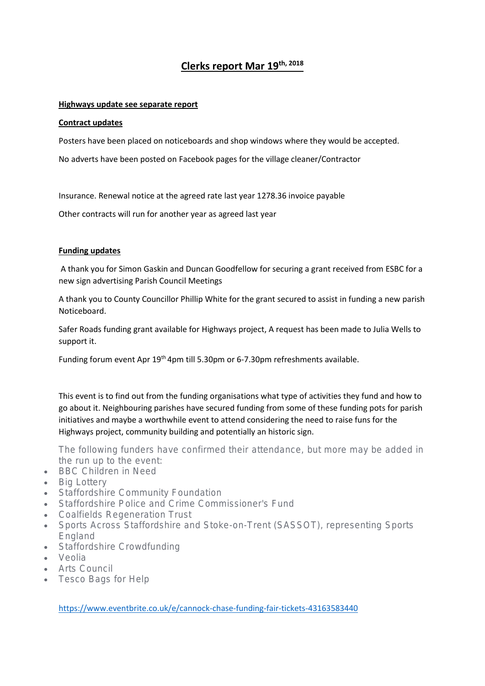# **Clerks report Mar 19th, 2018**

#### **Highways update see separate report**

#### **Contract updates**

Posters have been placed on noticeboards and shop windows where they would be accepted.

No adverts have been posted on Facebook pages for the village cleaner/Contractor

Insurance. Renewal notice at the agreed rate last year 1278.36 invoice payable

Other contracts will run for another year as agreed last year

### **Funding updates**

A thank you for Simon Gaskin and Duncan Goodfellow for securing a grant received from ESBC for a new sign advertising Parish Council Meetings

A thank you to County Councillor Phillip White for the grant secured to assist in funding a new parish Noticeboard.

Safer Roads funding grant available for Highways project, A request has been made to Julia Wells to support it.

Funding forum event Apr 19<sup>th</sup> 4pm till 5.30pm or 6-7.30pm refreshments available.

This event is to find out from the funding organisations what type of activities they fund and how to go about it. Neighbouring parishes have secured funding from some of these funding pots for parish initiatives and maybe a worthwhile event to attend considering the need to raise funs for the Highways project, community building and potentially an historic sign.

The following funders have confirmed their attendance, but more may be added in the run up to the event:

- BBC Children in Need
- Big Lottery
- **Staffordshire Community Foundation**
- Staffordshire Police and Crime Commissioner's Fund
- Coalfields Regeneration Trust
- Sports Across Staffordshire and Stoke-on-Trent (SASSOT), representing Sports England
- Staffordshire Crowdfunding
- Veolia
- Arts Council
- Tesco Bags for Help

<https://www.eventbrite.co.uk/e/cannock-chase-funding-fair-tickets-43163583440>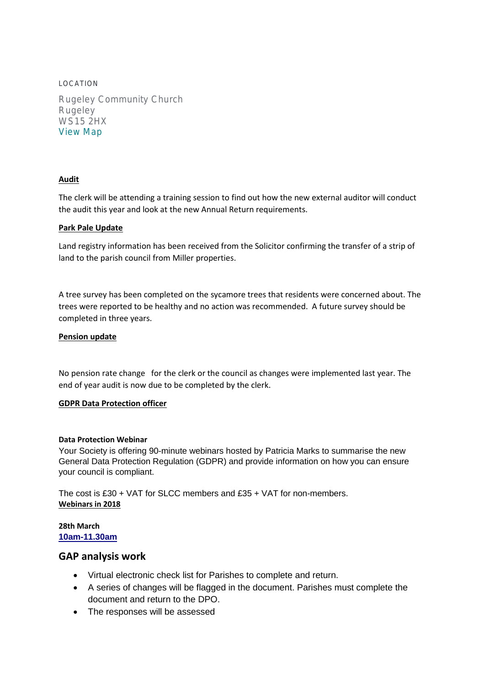LOCATION Rugeley Community Church Rugeley WS15 2HX [View Map](https://www.eventbrite.co.uk/e/cannock-chase-funding-fair-tickets-43163583440#map-target)

## **Audit**

The clerk will be attending a training session to find out how the new external auditor will conduct the audit this year and look at the new Annual Return requirements.

### **Park Pale Update**

Land registry information has been received from the Solicitor confirming the transfer of a strip of land to the parish council from Miller properties.

A tree survey has been completed on the sycamore trees that residents were concerned about. The trees were reported to be healthy and no action was recommended. A future survey should be completed in three years.

### **Pension update**

No pension rate change for the clerk or the council as changes were implemented last year. The end of year audit is now due to be completed by the clerk.

#### **GDPR Data Protection officer**

#### **Data Protection Webinar**

Your Society is offering 90-minute webinars hosted by Patricia Marks to summarise the new General Data Protection Regulation (GDPR) and provide information on how you can ensure your council is compliant.

The cost is £30 + VAT for SLCC members and £35 + VAT for non-members. **Webinars in 2018**

#### **28th March [10am-11.30am](https://customer.slcc.co.uk/Events/Book/274)**

## **GAP analysis work**

- Virtual electronic check list for Parishes to complete and return.
- A series of changes will be flagged in the document. Parishes must complete the document and return to the DPO.
- The responses will be assessed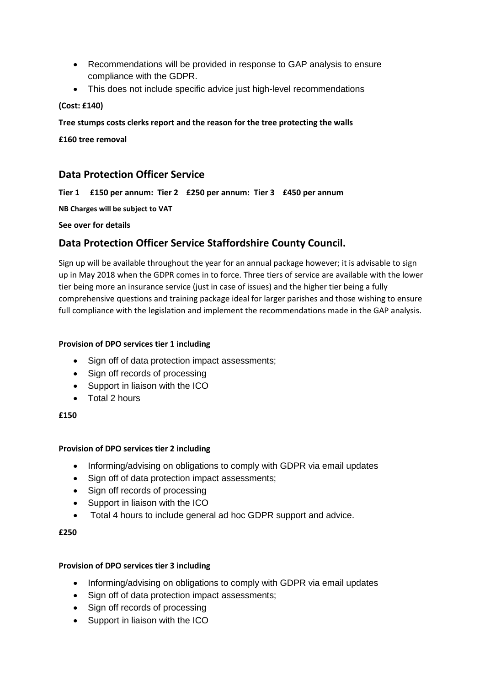- Recommendations will be provided in response to GAP analysis to ensure compliance with the GDPR.
- This does not include specific advice just high-level recommendations

## **(Cost: £140)**

## **Tree stumps costs clerks report and the reason for the tree protecting the walls**

**£160 tree removal**

## **Data Protection Officer Service**

**Tier 1 £150 per annum: Tier 2 £250 per annum: Tier 3 £450 per annum**

**NB Charges will be subject to VAT**

**See over for details**

## **Data Protection Officer Service Staffordshire County Council.**

Sign up will be available throughout the year for an annual package however; it is advisable to sign up in May 2018 when the GDPR comes in to force. Three tiers of service are available with the lower tier being more an insurance service (just in case of issues) and the higher tier being a fully comprehensive questions and training package ideal for larger parishes and those wishing to ensure full compliance with the legislation and implement the recommendations made in the GAP analysis.

## **Provision of DPO services tier 1 including**

- Sign off of data protection impact assessments;
- Sign off records of processing
- Support in liaison with the ICO
- Total 2 hours

## **£150**

## **Provision of DPO services tier 2 including**

- Informing/advising on obligations to comply with GDPR via email updates
- Sign off of data protection impact assessments;
- Sign off records of processing
- Support in liaison with the ICO
- Total 4 hours to include general ad hoc GDPR support and advice.

## **£250**

## **Provision of DPO services tier 3 including**

- Informing/advising on obligations to comply with GDPR via email updates
- Sign off of data protection impact assessments;
- Sign off records of processing
- Support in liaison with the ICO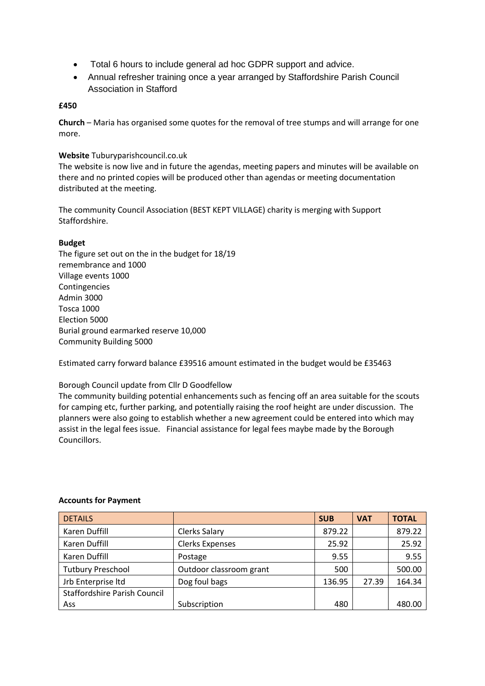- Total 6 hours to include general ad hoc GDPR support and advice.
- Annual refresher training once a year arranged by Staffordshire Parish Council Association in Stafford

### **£450**

**Church** – Maria has organised some quotes for the removal of tree stumps and will arrange for one more.

#### **Website** Tuburyparishcouncil.co.uk

The website is now live and in future the agendas, meeting papers and minutes will be available on there and no printed copies will be produced other than agendas or meeting documentation distributed at the meeting.

The community Council Association (BEST KEPT VILLAGE) charity is merging with Support Staffordshire.

### **Budget**

The figure set out on the in the budget for 18/19 remembrance and 1000 Village events 1000 Contingencies Admin 3000 Tosca 1000 Election 5000 Burial ground earmarked reserve 10,000 Community Building 5000

Estimated carry forward balance £39516 amount estimated in the budget would be £35463

#### Borough Council update from Cllr D Goodfellow

The community building potential enhancements such as fencing off an area suitable for the scouts for camping etc, further parking, and potentially raising the roof height are under discussion. The planners were also going to establish whether a new agreement could be entered into which may assist in the legal fees issue. Financial assistance for legal fees maybe made by the Borough Councillors.

| <b>DETAILS</b>                      |                         | <b>SUB</b> | <b>VAT</b> | <b>TOTAL</b> |
|-------------------------------------|-------------------------|------------|------------|--------------|
| Karen Duffill                       | Clerks Salary           | 879.22     |            | 879.22       |
| Karen Duffill                       | <b>Clerks Expenses</b>  | 25.92      |            | 25.92        |
| Karen Duffill                       | Postage                 | 9.55       |            | 9.55         |
| <b>Tutbury Preschool</b>            | Outdoor classroom grant | 500        |            | 500.00       |
| Jrb Enterprise Itd                  | Dog foul bags           | 136.95     | 27.39      | 164.34       |
| <b>Staffordshire Parish Council</b> |                         |            |            |              |
| Ass                                 | Subscription            | 480        |            | 480.00       |

#### **Accounts for Payment**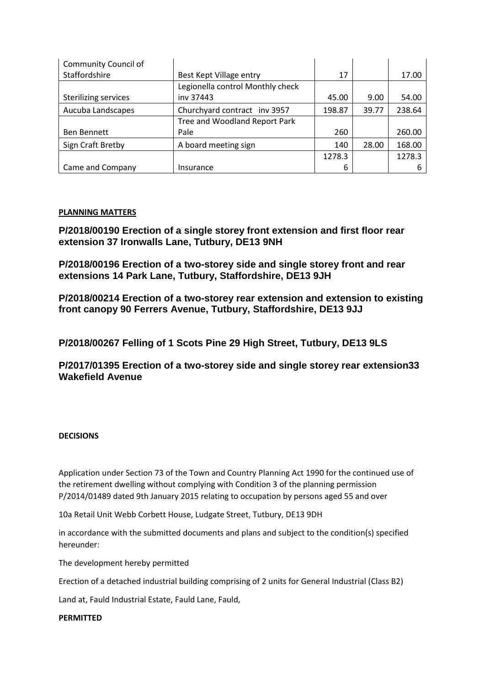| <b>Community Council of</b> |                                  |        |       |        |
|-----------------------------|----------------------------------|--------|-------|--------|
| Staffordshire               | Best Kept Village entry          | 17     |       | 17.00  |
|                             | Legionella control Monthly check |        |       |        |
| <b>Sterilizing services</b> | iny 37443                        | 45.00  | 9.00  | 54.00  |
| Aucuba Landscapes           | Churchyard contract inv 3957     | 198.87 | 39.77 | 238.64 |
|                             | Tree and Woodland Report Park    |        |       |        |
| Ben Bennett                 | Pale                             | 260    |       | 260.00 |
| Sign Craft Bretby           | A board meeting sign             | 140    | 28.00 | 168.00 |
|                             |                                  | 1278.3 |       | 1278.3 |
| Came and Company            | Insurance                        | 6      |       |        |

### **PLANNING MATTERS**

**P/2018/00190 Erection of a single storey front extension and first floor rear extension 37 Ironwalls Lane, Tutbury, DE13 9NH**

**P/2018/00196 Erection of a two-storey side and single storey front and rear extensions 14 Park Lane, Tutbury, Staffordshire, DE13 9JH**

**P/2018/00214 Erection of a two-storey rear extension and extension to existing front canopy 90 Ferrers Avenue, Tutbury, Staffordshire, DE13 9JJ**

**P/2018/00267 Felling of 1 Scots Pine 29 High Street, Tutbury, DE13 9LS**

**P/2017/01395 Erection of a two-storey side and single storey rear extension33 Wakefield Avenue**

#### **DECISIONS**

Application under Section 73 of the Town and Country Planning Act 1990 for the continued use of the retirement dwelling without complying with Condition 3 of the planning permission P/2014/01489 dated 9th January 2015 relating to occupation by persons aged 55 and over

10a Retail Unit Webb Corbett House, Ludgate Street, Tutbury, DE13 9DH

in accordance with the submitted documents and plans and subject to the condition(s) specified hereunder:

The development hereby permitted

Erection of a detached industrial building comprising of 2 units for General Industrial (Class B2)

Land at, Fauld Industrial Estate, Fauld Lane, Fauld,

**PERMITTED**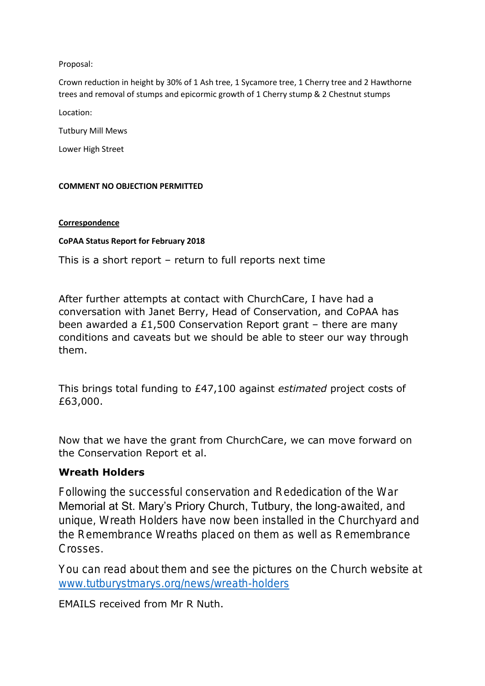## Proposal:

Crown reduction in height by 30% of 1 Ash tree, 1 Sycamore tree, 1 Cherry tree and 2 Hawthorne trees and removal of stumps and epicormic growth of 1 Cherry stump & 2 Chestnut stumps

Location:

Tutbury Mill Mews

Lower High Street

## **COMMENT NO OBJECTION PERMITTED**

## **Correspondence**

## **CoPAA Status Report for February 2018**

This is a short report – return to full reports next time

After further attempts at contact with ChurchCare, I have had a conversation with Janet Berry, Head of Conservation, and CoPAA has been awarded a £1,500 Conservation Report grant – there are many conditions and caveats but we should be able to steer our way through them.

This brings total funding to £47,100 against *estimated* project costs of £63,000.

Now that we have the grant from ChurchCare, we can move forward on the Conservation Report et al.

## **Wreath Holders**

Following the successful conservation and Rededication of the War Memorial at St. Mary's Priory Church, Tutbury, the long-awaited, and unique, Wreath Holders have now been installed in the Churchyard and the Remembrance Wreaths placed on them as well as Remembrance Crosses.

You can read about them and see the pictures on the Church website at [www.tutburystmarys.org/news/wreath-holders](http://www.tutburystmarys.org/news/wreath-holders)

EMAILS received from Mr R Nuth.